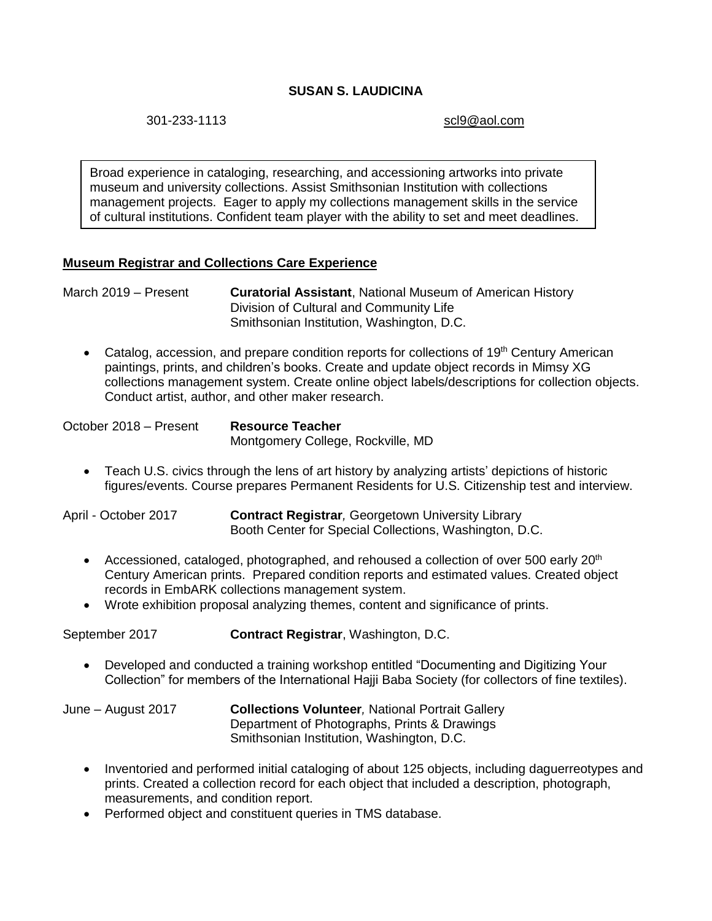# **SUSAN S. LAUDICINA**

301-233-1113 [scl9@aol.com](mailto:scl9@aol.com)

Broad experience in cataloging, researching, and accessioning artworks into private museum and university collections. Assist Smithsonian Institution with collections management projects. Eager to apply my collections management skills in the service of cultural institutions. Confident team player with the ability to set and meet deadlines.

## **Museum Registrar and Collections Care Experience**

March 2019 – Present **Curatorial Assistant**, National Museum of American History Division of Cultural and Community Life Smithsonian Institution, Washington, D.C.

• Catalog, accession, and prepare condition reports for collections of 19<sup>th</sup> Century American paintings, prints, and children's books. Create and update object records in Mimsy XG collections management system. Create online object labels/descriptions for collection objects. Conduct artist, author, and other maker research.

| October 2018 - Present | <b>Resource Teacher</b>           |
|------------------------|-----------------------------------|
|                        | Montgomery College, Rockville, MD |

- Teach U.S. civics through the lens of art history by analyzing artists' depictions of historic figures/events. Course prepares Permanent Residents for U.S. Citizenship test and interview.
- April October 2017 **Contract Registrar***,* Georgetown University Library Booth Center for Special Collections, Washington, D.C.
	- Accessioned, cataloged, photographed, and rehoused a collection of over 500 early  $20<sup>th</sup>$ Century American prints. Prepared condition reports and estimated values. Created object records in EmbARK collections management system.
	- Wrote exhibition proposal analyzing themes, content and significance of prints.

September 2017 **Contract Registrar**, Washington, D.C.

 Developed and conducted a training workshop entitled "Documenting and Digitizing Your Collection" for members of the International Hajji Baba Society (for collectors of fine textiles).

June – August 2017 **Collections Volunteer***,* National Portrait Gallery Department of Photographs, Prints & Drawings Smithsonian Institution, Washington, D.C.

- Inventoried and performed initial cataloging of about 125 objects, including daguerreotypes and prints. Created a collection record for each object that included a description, photograph, measurements, and condition report.
- Performed object and constituent queries in TMS database.